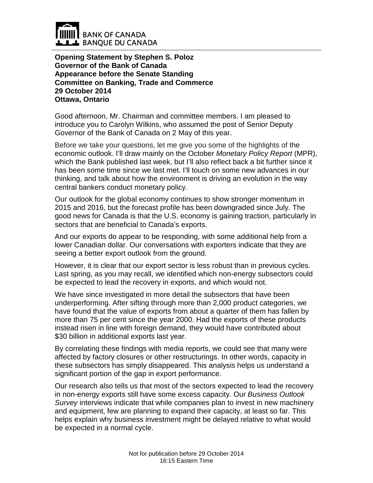

**Opening Statement by Stephen S. Poloz Governor of the Bank of Canada Appearance before the Senate Standing Committee on Banking, Trade and Commerce 29 October 2014 Ottawa, Ontario**

Good afternoon, Mr. Chairman and committee members. I am pleased to introduce you to Carolyn Wilkins, who assumed the post of Senior Deputy Governor of the Bank of Canada on 2 May of this year.

Before we take your questions, let me give you some of the highlights of the economic outlook. I'll draw mainly on the October *Monetary Policy Report* (MPR), which the Bank published last week, but I'll also reflect back a bit further since it has been some time since we last met. I'll touch on some new advances in our thinking, and talk about how the environment is driving an evolution in the way central bankers conduct monetary policy.

Our outlook for the global economy continues to show stronger momentum in 2015 and 2016, but the forecast profile has been downgraded since July. The good news for Canada is that the U.S. economy is gaining traction, particularly in sectors that are beneficial to Canada's exports.

And our exports do appear to be responding, with some additional help from a lower Canadian dollar. Our conversations with exporters indicate that they are seeing a better export outlook from the ground.

However, it is clear that our export sector is less robust than in previous cycles. Last spring, as you may recall, we identified which non-energy subsectors could be expected to lead the recovery in exports, and which would not.

We have since investigated in more detail the subsectors that have been underperforming. After sifting through more than 2,000 product categories, we have found that the value of exports from about a quarter of them has fallen by more than 75 per cent since the year 2000. Had the exports of these products instead risen in line with foreign demand, they would have contributed about \$30 billion in additional exports last year.

By correlating these findings with media reports, we could see that many were affected by factory closures or other restructurings. In other words, capacity in these subsectors has simply disappeared. This analysis helps us understand a significant portion of the gap in export performance.

Our research also tells us that most of the sectors expected to lead the recovery in non-energy exports still have some excess capacity. Our *Business Outlook Survey* interviews indicate that while companies plan to invest in new machinery and equipment, few are planning to expand their capacity, at least so far. This helps explain why business investment might be delayed relative to what would be expected in a normal cycle.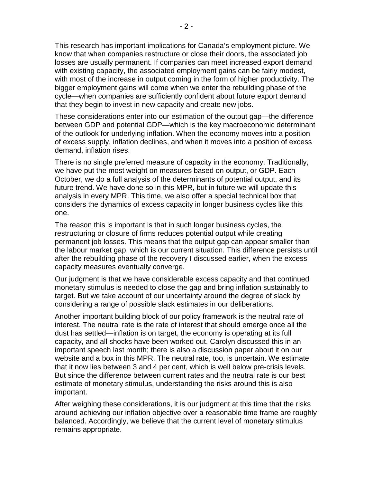This research has important implications for Canada's employment picture. We know that when companies restructure or close their doors, the associated job losses are usually permanent. If companies can meet increased export demand with existing capacity, the associated employment gains can be fairly modest, with most of the increase in output coming in the form of higher productivity. The bigger employment gains will come when we enter the rebuilding phase of the cycle—when companies are sufficiently confident about future export demand that they begin to invest in new capacity and create new jobs.

These considerations enter into our estimation of the output gap—the difference between GDP and potential GDP—which is the key macroeconomic determinant of the outlook for underlying inflation. When the economy moves into a position of excess supply, inflation declines, and when it moves into a position of excess demand, inflation rises.

There is no single preferred measure of capacity in the economy. Traditionally, we have put the most weight on measures based on output, or GDP. Each October, we do a full analysis of the determinants of potential output, and its future trend. We have done so in this MPR, but in future we will update this analysis in every MPR. This time, we also offer a special technical box that considers the dynamics of excess capacity in longer business cycles like this one.

The reason this is important is that in such longer business cycles, the restructuring or closure of firms reduces potential output while creating permanent job losses. This means that the output gap can appear smaller than the labour market gap, which is our current situation. This difference persists until after the rebuilding phase of the recovery I discussed earlier, when the excess capacity measures eventually converge.

Our judgment is that we have considerable excess capacity and that continued monetary stimulus is needed to close the gap and bring inflation sustainably to target. But we take account of our uncertainty around the degree of slack by considering a range of possible slack estimates in our deliberations.

Another important building block of our policy framework is the neutral rate of interest. The neutral rate is the rate of interest that should emerge once all the dust has settled—inflation is on target, the economy is operating at its full capacity, and all shocks have been worked out. Carolyn discussed this in an important speech last month; there is also a discussion paper about it on our website and a box in this MPR. The neutral rate, too, is uncertain. We estimate that it now lies between 3 and 4 per cent, which is well below pre-crisis levels. But since the difference between current rates and the neutral rate is our best estimate of monetary stimulus, understanding the risks around this is also important.

After weighing these considerations, it is our judgment at this time that the risks around achieving our inflation objective over a reasonable time frame are roughly balanced. Accordingly, we believe that the current level of monetary stimulus remains appropriate.